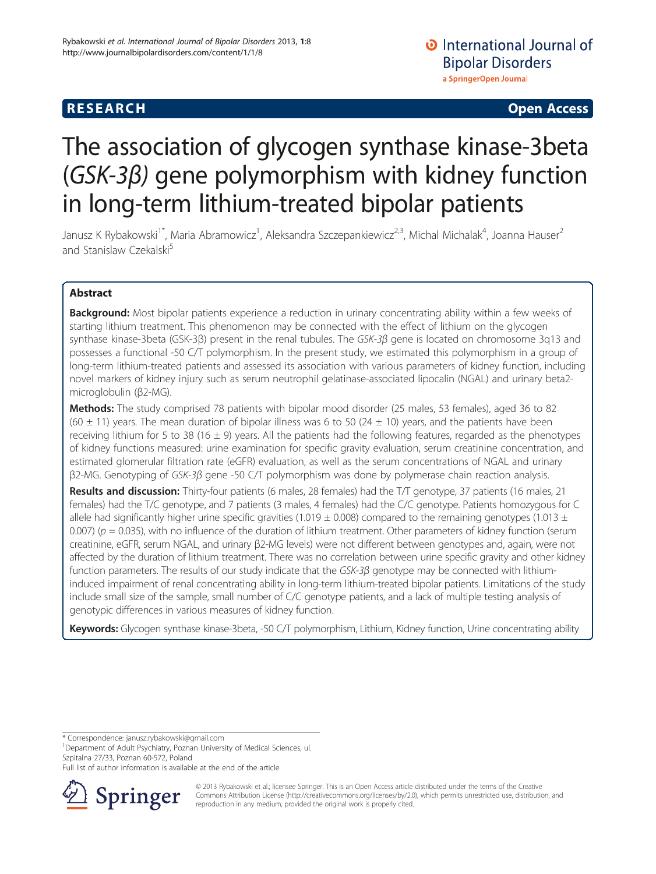# The association of glycogen synthase kinase-3beta (GSK-3β) gene polymorphism with kidney function in long-term lithium-treated bipolar patients

Janusz K Rybakowski<sup>1\*</sup>, Maria Abramowicz<sup>1</sup>, Aleksandra Szczepankiewicz<sup>2,3</sup>, Michal Michalak<sup>4</sup>, Joanna Hauser<sup>2</sup> and Stanislaw Czekalski<sup>5</sup>

# Abstract

Background: Most bipolar patients experience a reduction in urinary concentrating ability within a few weeks of starting lithium treatment. This phenomenon may be connected with the effect of lithium on the glycogen synthase kinase-3beta (GSK-3β) present in the renal tubules. The GSK-3β gene is located on chromosome 3q13 and possesses a functional -50 C/T polymorphism. In the present study, we estimated this polymorphism in a group of long-term lithium-treated patients and assessed its association with various parameters of kidney function, including novel markers of kidney injury such as serum neutrophil gelatinase-associated lipocalin (NGAL) and urinary beta2 microglobulin (β2-MG).

Methods: The study comprised 78 patients with bipolar mood disorder (25 males, 53 females), aged 36 to 82 (60  $\pm$  11) years. The mean duration of bipolar illness was 6 to 50 (24  $\pm$  10) years, and the patients have been receiving lithium for 5 to 38 (16  $\pm$  9) years. All the patients had the following features, regarded as the phenotypes of kidney functions measured: urine examination for specific gravity evaluation, serum creatinine concentration, and estimated glomerular filtration rate (eGFR) evaluation, as well as the serum concentrations of NGAL and urinary β2-MG. Genotyping of GSK-3β gene -50 C/T polymorphism was done by polymerase chain reaction analysis.

Results and discussion: Thirty-four patients (6 males, 28 females) had the T/T genotype, 37 patients (16 males, 21 females) had the T/C genotype, and 7 patients (3 males, 4 females) had the C/C genotype. Patients homozygous for C allele had significantly higher urine specific gravities (1.019  $\pm$  0.008) compared to the remaining genotypes (1.013  $\pm$ 0.007) ( $p = 0.035$ ), with no influence of the duration of lithium treatment. Other parameters of kidney function (serum creatinine, eGFR, serum NGAL, and urinary β2-MG levels) were not different between genotypes and, again, were not affected by the duration of lithium treatment. There was no correlation between urine specific gravity and other kidney function parameters. The results of our study indicate that the  $GSK-3\beta$  genotype may be connected with lithiuminduced impairment of renal concentrating ability in long-term lithium-treated bipolar patients. Limitations of the study include small size of the sample, small number of C/C genotype patients, and a lack of multiple testing analysis of genotypic differences in various measures of kidney function.

Keywords: Glycogen synthase kinase-3beta, -50 C/T polymorphism, Lithium, Kidney function, Urine concentrating ability

\* Correspondence: [janusz.rybakowski@gmail.com](mailto:janusz.rybakowski@gmail.com) <sup>1</sup>

<sup>1</sup>Department of Adult Psychiatry, Poznan University of Medical Sciences, ul. Szpitalna 27/33, Poznan 60-572, Poland

Full list of author information is available at the end of the article



© 2013 Rybakowski et al.; licensee Springer. This is an Open Access article distributed under the terms of the Creative Commons Attribution License (<http://creativecommons.org/licenses/by/2.0>), which permits unrestricted use, distribution, and reproduction in any medium, provided the original work is properly cited.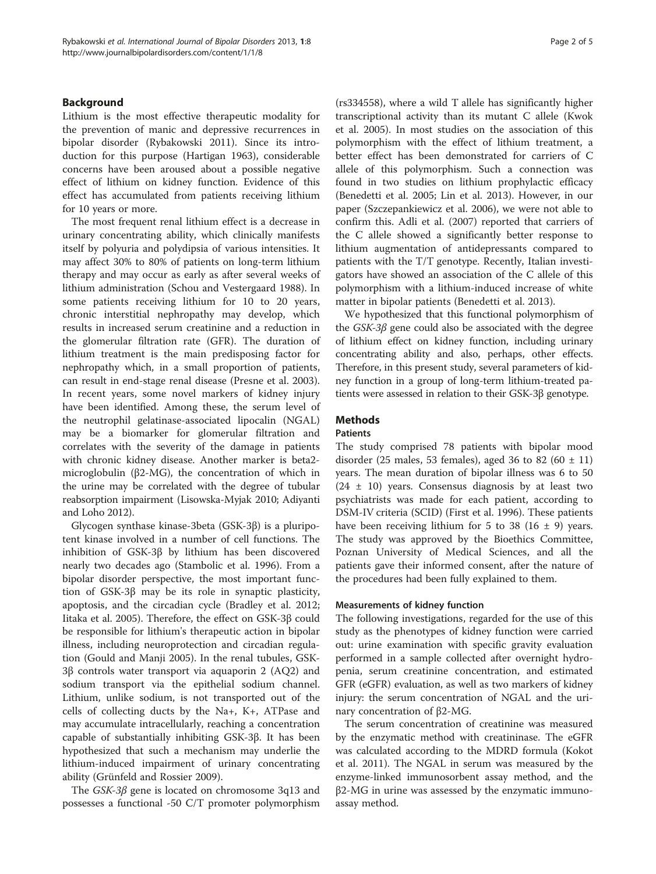# Background

Lithium is the most effective therapeutic modality for the prevention of manic and depressive recurrences in bipolar disorder (Rybakowski [2011](#page-4-0)). Since its introduction for this purpose (Hartigan [1963](#page-4-0)), considerable concerns have been aroused about a possible negative effect of lithium on kidney function. Evidence of this effect has accumulated from patients receiving lithium for 10 years or more.

The most frequent renal lithium effect is a decrease in urinary concentrating ability, which clinically manifests itself by polyuria and polydipsia of various intensities. It may affect 30% to 80% of patients on long-term lithium therapy and may occur as early as after several weeks of lithium administration (Schou and Vestergaard [1988](#page-4-0)). In some patients receiving lithium for 10 to 20 years, chronic interstitial nephropathy may develop, which results in increased serum creatinine and a reduction in the glomerular filtration rate (GFR). The duration of lithium treatment is the main predisposing factor for nephropathy which, in a small proportion of patients, can result in end-stage renal disease (Presne et al. [2003](#page-4-0)). In recent years, some novel markers of kidney injury have been identified. Among these, the serum level of the neutrophil gelatinase-associated lipocalin (NGAL) may be a biomarker for glomerular filtration and correlates with the severity of the damage in patients with chronic kidney disease. Another marker is beta2 microglobulin (β2-MG), the concentration of which in the urine may be correlated with the degree of tubular reabsorption impairment (Lisowska-Myjak [2010](#page-4-0); Adiyanti and Loho [2012\)](#page-4-0).

Glycogen synthase kinase-3beta (GSK-3β) is a pluripotent kinase involved in a number of cell functions. The inhibition of GSK-3β by lithium has been discovered nearly two decades ago (Stambolic et al. [1996\)](#page-4-0). From a bipolar disorder perspective, the most important function of GSK-3β may be its role in synaptic plasticity, apoptosis, and the circadian cycle (Bradley et al. [2012](#page-4-0); Iitaka et al. [2005\)](#page-4-0). Therefore, the effect on GSK-3β could be responsible for lithium's therapeutic action in bipolar illness, including neuroprotection and circadian regulation (Gould and Manji [2005](#page-4-0)). In the renal tubules, GSK-3β controls water transport via aquaporin 2 (AQ2) and sodium transport via the epithelial sodium channel. Lithium, unlike sodium, is not transported out of the cells of collecting ducts by the Na+, K+, ATPase and may accumulate intracellularly, reaching a concentration capable of substantially inhibiting GSK-3β. It has been hypothesized that such a mechanism may underlie the lithium-induced impairment of urinary concentrating ability (Grünfeld and Rossier [2009](#page-4-0)).

The GSK-3β gene is located on chromosome 3q13 and possesses a functional -50 C/T promoter polymorphism

(rs334558), where a wild T allele has significantly higher transcriptional activity than its mutant C allele (Kwok et al. [2005\)](#page-4-0). In most studies on the association of this polymorphism with the effect of lithium treatment, a better effect has been demonstrated for carriers of C allele of this polymorphism. Such a connection was found in two studies on lithium prophylactic efficacy (Benedetti et al. [2005](#page-4-0); Lin et al. [2013\)](#page-4-0). However, in our paper (Szczepankiewicz et al. [2006\)](#page-4-0), we were not able to confirm this. Adli et al. ([2007](#page-4-0)) reported that carriers of the C allele showed a significantly better response to lithium augmentation of antidepressants compared to patients with the T/T genotype. Recently, Italian investigators have showed an association of the C allele of this polymorphism with a lithium-induced increase of white matter in bipolar patients (Benedetti et al. [2013](#page-4-0)).

We hypothesized that this functional polymorphism of the GSK-3β gene could also be associated with the degree of lithium effect on kidney function, including urinary concentrating ability and also, perhaps, other effects. Therefore, in this present study, several parameters of kidney function in a group of long-term lithium-treated patients were assessed in relation to their GSK-3β genotype.

# **Methods**

# Patients

The study comprised 78 patients with bipolar mood disorder (25 males, 53 females), aged 36 to 82 (60  $\pm$  11) years. The mean duration of bipolar illness was 6 to 50  $(24 \pm 10)$  years. Consensus diagnosis by at least two psychiatrists was made for each patient, according to DSM-IV criteria (SCID) (First et al. [1996\)](#page-4-0). These patients have been receiving lithium for 5 to 38 (16  $\pm$  9) years. The study was approved by the Bioethics Committee, Poznan University of Medical Sciences, and all the patients gave their informed consent, after the nature of the procedures had been fully explained to them.

## Measurements of kidney function

The following investigations, regarded for the use of this study as the phenotypes of kidney function were carried out: urine examination with specific gravity evaluation performed in a sample collected after overnight hydropenia, serum creatinine concentration, and estimated GFR (eGFR) evaluation, as well as two markers of kidney injury: the serum concentration of NGAL and the urinary concentration of β2-MG.

The serum concentration of creatinine was measured by the enzymatic method with creatininase. The eGFR was calculated according to the MDRD formula (Kokot et al. [2011\)](#page-4-0). The NGAL in serum was measured by the enzyme-linked immunosorbent assay method, and the β2-MG in urine was assessed by the enzymatic immunoassay method.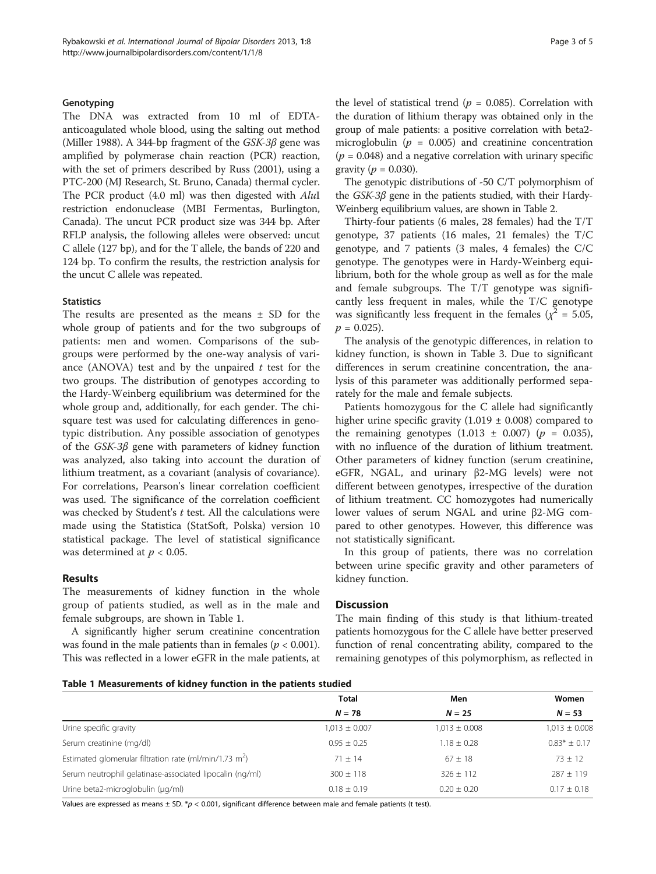# Genotyping

The DNA was extracted from 10 ml of EDTAanticoagulated whole blood, using the salting out method (Miller [1988](#page-4-0)). A 344-bp fragment of the  $GSK-3\beta$  gene was amplified by polymerase chain reaction (PCR) reaction, with the set of primers described by Russ [\(2001\)](#page-4-0), using a PTC-200 (MJ Research, St. Bruno, Canada) thermal cycler. The PCR product (4.0 ml) was then digested with AluI restriction endonuclease (MBI Fermentas, Burlington, Canada). The uncut PCR product size was 344 bp. After RFLP analysis, the following alleles were observed: uncut C allele (127 bp), and for the T allele, the bands of 220 and 124 bp. To confirm the results, the restriction analysis for the uncut C allele was repeated.

## **Statistics**

The results are presented as the means ± SD for the whole group of patients and for the two subgroups of patients: men and women. Comparisons of the subgroups were performed by the one-way analysis of variance (ANOVA) test and by the unpaired  $t$  test for the two groups. The distribution of genotypes according to the Hardy-Weinberg equilibrium was determined for the whole group and, additionally, for each gender. The chisquare test was used for calculating differences in genotypic distribution. Any possible association of genotypes of the GSK-3β gene with parameters of kidney function was analyzed, also taking into account the duration of lithium treatment, as a covariant (analysis of covariance). For correlations, Pearson's linear correlation coefficient was used. The significance of the correlation coefficient was checked by Student's  $t$  test. All the calculations were made using the Statistica (StatSoft, Polska) version 10 statistical package. The level of statistical significance was determined at  $p < 0.05$ .

## Results

The measurements of kidney function in the whole group of patients studied, as well as in the male and female subgroups, are shown in Table 1.

A significantly higher serum creatinine concentration was found in the male patients than in females ( $p < 0.001$ ). This was reflected in a lower eGFR in the male patients, at the level of statistical trend ( $p = 0.085$ ). Correlation with the duration of lithium therapy was obtained only in the group of male patients: a positive correlation with beta2 microglobulin ( $p = 0.005$ ) and creatinine concentration  $(p = 0.048)$  and a negative correlation with urinary specific gravity ( $p = 0.030$ ).

The genotypic distributions of -50 C/T polymorphism of the GSK-3β gene in the patients studied, with their Hardy-Weinberg equilibrium values, are shown in Table [2](#page-3-0).

Thirty-four patients (6 males, 28 females) had the T/T genotype, 37 patients (16 males, 21 females) the  $T/C$ genotype, and 7 patients (3 males, 4 females) the C/C genotype. The genotypes were in Hardy-Weinberg equilibrium, both for the whole group as well as for the male and female subgroups. The T/T genotype was significantly less frequent in males, while the T/C genotype was significantly less frequent in the females ( $\chi^2$  = 5.05,  $p = 0.025$ .

The analysis of the genotypic differences, in relation to kidney function, is shown in Table [3](#page-3-0). Due to significant differences in serum creatinine concentration, the analysis of this parameter was additionally performed separately for the male and female subjects.

Patients homozygous for the C allele had significantly higher urine specific gravity  $(1.019 \pm 0.008)$  compared to the remaining genotypes  $(1.013 \pm 0.007)$  ( $p = 0.035$ ), with no influence of the duration of lithium treatment. Other parameters of kidney function (serum creatinine, eGFR, NGAL, and urinary β2-MG levels) were not different between genotypes, irrespective of the duration of lithium treatment. CC homozygotes had numerically lower values of serum NGAL and urine β2-MG compared to other genotypes. However, this difference was not statistically significant.

In this group of patients, there was no correlation between urine specific gravity and other parameters of kidney function.

# **Discussion**

The main finding of this study is that lithium-treated patients homozygous for the C allele have better preserved function of renal concentrating ability, compared to the remaining genotypes of this polymorphism, as reflected in

|                                                                    | <b>Total</b>      | Men               | Women             |
|--------------------------------------------------------------------|-------------------|-------------------|-------------------|
|                                                                    | $N = 78$          | $N = 25$          | $N = 53$          |
| Urine specific gravity                                             | $1,013 \pm 0.007$ | $1,013 \pm 0.008$ | $1,013 \pm 0.008$ |
| Serum creatinine (mg/dl)                                           | $0.95 \pm 0.25$   | $1.18 \pm 0.28$   | $0.83*$ ± 0.17    |
| Estimated glomerular filtration rate (ml/min/1.73 m <sup>2</sup> ) | $71 + 14$         | $67 \pm 18$       | $73 \pm 12$       |
| Serum neutrophil gelatinase-associated lipocalin (ng/ml)           | $300 \pm 118$     | $326 \pm 112$     | $287 \pm 119$     |
| Urine beta2-microglobulin (µg/ml)                                  | $0.18 \pm 0.19$   | $0.20 \pm 0.20$   | $0.17 \pm 0.18$   |

Values are expressed as means  $\pm$  SD. \*p < 0.001, significant difference between male and female patients (t test).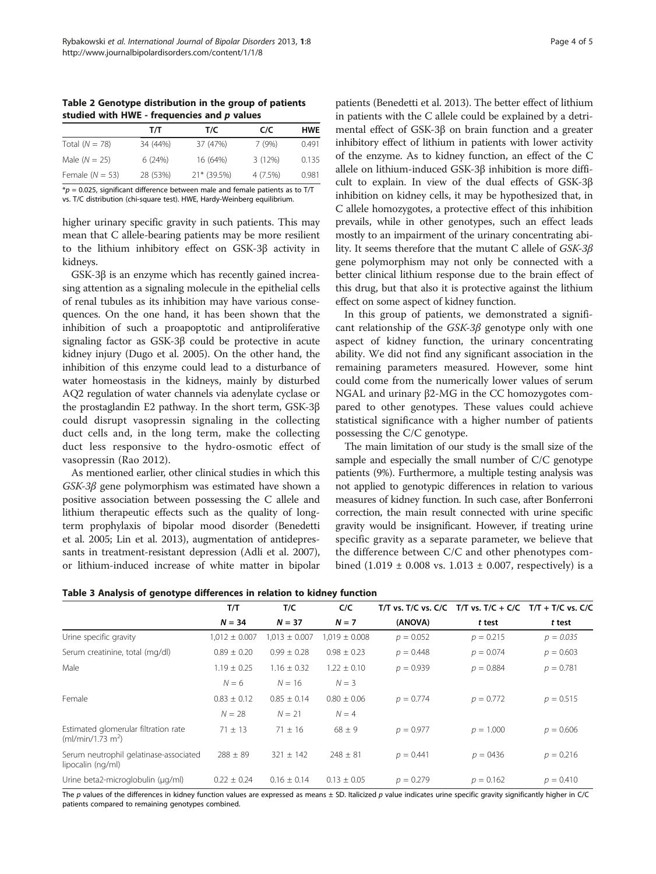<span id="page-3-0"></span>Table 2 Genotype distribution in the group of patients studied with HWE - frequencies and  $p$  values

|                   | т/т      | T/C         | C/C      | <b>HWE</b> |
|-------------------|----------|-------------|----------|------------|
| Total $(N = 78)$  | 34 (44%) | 37 (47%)    | 7(9%)    | 0.491      |
| Male $(N = 25)$   | 6(24%)   | 16 (64%)    | 3(12%)   | 0.135      |
| Female $(N = 53)$ | 28 (53%) | 21* (39.5%) | 4 (7.5%) | 0.981      |

 $*p = 0.025$ , significant difference between male and female patients as to T/T vs. T/C distribution (chi-square test). HWE, Hardy-Weinberg equilibrium.

higher urinary specific gravity in such patients. This may mean that C allele-bearing patients may be more resilient to the lithium inhibitory effect on GSK-3β activity in kidneys.

GSK-3β is an enzyme which has recently gained increasing attention as a signaling molecule in the epithelial cells of renal tubules as its inhibition may have various consequences. On the one hand, it has been shown that the inhibition of such a proapoptotic and antiproliferative signaling factor as GSK-3β could be protective in acute kidney injury (Dugo et al. [2005](#page-4-0)). On the other hand, the inhibition of this enzyme could lead to a disturbance of water homeostasis in the kidneys, mainly by disturbed AQ2 regulation of water channels via adenylate cyclase or the prostaglandin E2 pathway. In the short term, GSK-3β could disrupt vasopressin signaling in the collecting duct cells and, in the long term, make the collecting duct less responsive to the hydro-osmotic effect of vasopressin (Rao [2012](#page-4-0)).

As mentioned earlier, other clinical studies in which this GSK-3β gene polymorphism was estimated have shown a positive association between possessing the C allele and lithium therapeutic effects such as the quality of longterm prophylaxis of bipolar mood disorder (Benedetti et al. [2005;](#page-4-0) Lin et al. [2013\)](#page-4-0), augmentation of antidepressants in treatment-resistant depression (Adli et al. [2007](#page-4-0)), or lithium-induced increase of white matter in bipolar patients (Benedetti et al. [2013\)](#page-4-0). The better effect of lithium in patients with the C allele could be explained by a detrimental effect of GSK-3β on brain function and a greater inhibitory effect of lithium in patients with lower activity of the enzyme. As to kidney function, an effect of the C allele on lithium-induced GSK-3β inhibition is more diffi-

cult to explain. In view of the dual effects of GSK-3β inhibition on kidney cells, it may be hypothesized that, in C allele homozygotes, a protective effect of this inhibition prevails, while in other genotypes, such an effect leads mostly to an impairment of the urinary concentrating ability. It seems therefore that the mutant C allele of GSK-3β gene polymorphism may not only be connected with a better clinical lithium response due to the brain effect of this drug, but that also it is protective against the lithium effect on some aspect of kidney function.

In this group of patients, we demonstrated a significant relationship of the GSK-3β genotype only with one aspect of kidney function, the urinary concentrating ability. We did not find any significant association in the remaining parameters measured. However, some hint could come from the numerically lower values of serum NGAL and urinary β2-MG in the CC homozygotes compared to other genotypes. These values could achieve statistical significance with a higher number of patients possessing the C/C genotype.

The main limitation of our study is the small size of the sample and especially the small number of C/C genotype patients (9%). Furthermore, a multiple testing analysis was not applied to genotypic differences in relation to various measures of kidney function. In such case, after Bonferroni correction, the main result connected with urine specific gravity would be insignificant. However, if treating urine specific gravity as a separate parameter, we believe that the difference between C/C and other phenotypes combined  $(1.019 \pm 0.008 \text{ vs. } 1.013 \pm 0.007, \text{ respectively})$  is a

| Table 3 Analysis of genotype differences in relation to kidney function |  |  |  |  |  |  |  |  |
|-------------------------------------------------------------------------|--|--|--|--|--|--|--|--|
|-------------------------------------------------------------------------|--|--|--|--|--|--|--|--|

|                                                                       | T/T               | T/C               | C/C               | T/T vs. T/C vs. $C/C$ T/T vs. T/C + $C/C$ T/T + T/C vs. C/C |             |             |
|-----------------------------------------------------------------------|-------------------|-------------------|-------------------|-------------------------------------------------------------|-------------|-------------|
|                                                                       | $N = 34$          | $N = 37$          | $N = 7$           | (ANOVA)                                                     | t test      | t test      |
| Urine specific gravity                                                | $1,012 \pm 0.007$ | $1,013 \pm 0.007$ | $1,019 \pm 0.008$ | $p = 0.052$                                                 | $p = 0.215$ | $p = 0.035$ |
| Serum creatinine, total (mg/dl)                                       | $0.89 \pm 0.20$   | $0.99 \pm 0.28$   | $0.98 \pm 0.23$   | $p = 0.448$                                                 | $p = 0.074$ | $p = 0.603$ |
| Male                                                                  | $1.19 \pm 0.25$   | $1.16 \pm 0.32$   | $1.22 + 0.10$     | $p = 0.939$                                                 | $p = 0.884$ | $p = 0.781$ |
|                                                                       | $N = 6$           | $N = 16$          | $N = 3$           |                                                             |             |             |
| Female                                                                | $0.83 + 0.12$     | $0.85 + 0.14$     | $0.80 + 0.06$     | $p = 0.774$                                                 | $p = 0.772$ | $p = 0.515$ |
|                                                                       | $N = 28$          | $N = 21$          | $N = 4$           |                                                             |             |             |
| Estimated glomerular filtration rate<br>(mI/min/1.73 m <sup>2</sup> ) | $71 \pm 13$       | $71 \pm 16$       | $68 \pm 9$        | $p = 0.977$                                                 | $p = 1.000$ | $p = 0.606$ |
| Serum neutrophil gelatinase-associated<br>lipocalin (ng/ml)           | $288 \pm 89$      | $321 \pm 142$     | $248 \pm 81$      | $p = 0.441$                                                 | $p = 0436$  | $p = 0.216$ |
| Urine beta2-microglobulin (µg/ml)                                     | $0.22 \pm 0.24$   | $0.16 \pm 0.14$   | $0.13 \pm 0.05$   | $p = 0.279$                                                 | $p = 0.162$ | $p = 0.410$ |

The p values of the differences in kidney function values are expressed as means  $\pm$  SD. Italicized p value indicates urine specific gravity significantly higher in C/C patients compared to remaining genotypes combined.